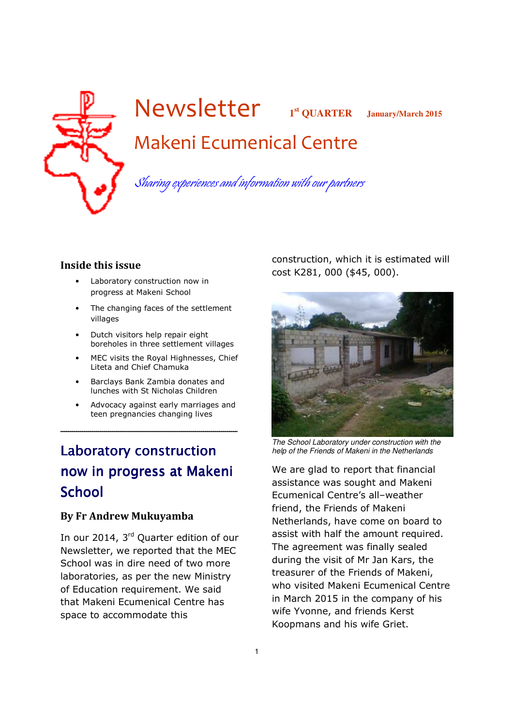

# Newsletter **<sup>1</sup> st QUARTER January/March 2015** Makeni Ecumenical Centre

Sharing experiences and information with our partners

### Inside this issue

- Laboratory construction now in progress at Makeni School
- The changing faces of the settlement villages
- Dutch visitors help repair eight boreholes in three settlement villages
- MEC visits the Royal Highnesses, Chief Liteta and Chief Chamuka
- Barclays Bank Zambia donates and lunches with St Nicholas Children
- Advocacy against early marriages and teen pregnancies changing lives

\_\_\_\_\_\_\_\_\_\_\_\_\_\_\_\_\_\_\_\_\_\_\_\_\_\_\_\_\_\_\_\_\_

## Laboratory construction now in progress at Makeni **School**

### By Fr Andrew Mukuyamba

In our 2014, 3<sup>rd</sup> Quarter edition of our Newsletter, we reported that the MEC School was in dire need of two more laboratories, as per the new Ministry of Education requirement. We said that Makeni Ecumenical Centre has space to accommodate this

construction, which it is estimated will cost K281, 000 (\$45, 000).



The School Laboratory under construction with the help of the Friends of Makeni in the Netherlands

We are glad to report that financial assistance was sought and Makeni Ecumenical Centre's all–weather friend, the Friends of Makeni Netherlands, have come on board to assist with half the amount required. The agreement was finally sealed during the visit of Mr Jan Kars, the treasurer of the Friends of Makeni, who visited Makeni Ecumenical Centre in March 2015 in the company of his wife Yvonne, and friends Kerst Koopmans and his wife Griet.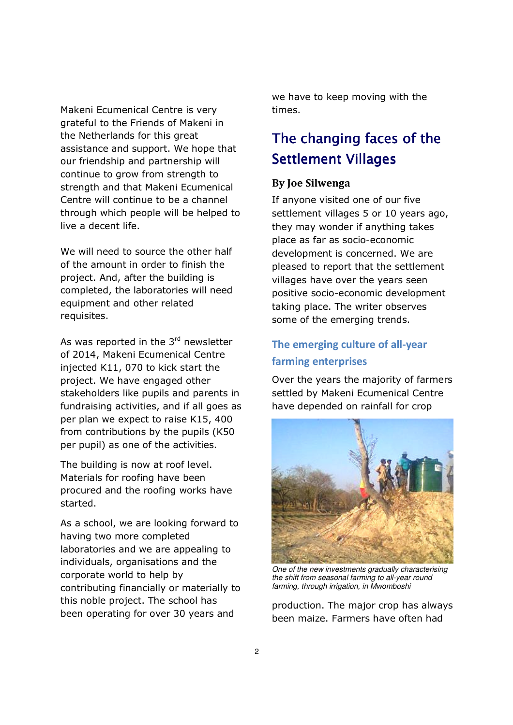Makeni Ecumenical Centre is very grateful to the Friends of Makeni in the Netherlands for this great assistance and support. We hope that our friendship and partnership will continue to grow from strength to strength and that Makeni Ecumenical Centre will continue to be a channel through which people will be helped to live a decent life.

We will need to source the other half of the amount in order to finish the project. And, after the building is completed, the laboratories will need equipment and other related requisites.

As was reported in the  $3<sup>rd</sup>$  newsletter of 2014, Makeni Ecumenical Centre injected K11, 070 to kick start the project. We have engaged other stakeholders like pupils and parents in fundraising activities, and if all goes as per plan we expect to raise K15, 400 from contributions by the pupils (K50 per pupil) as one of the activities.

The building is now at roof level. Materials for roofing have been procured and the roofing works have started.

As a school, we are looking forward to having two more completed laboratories and we are appealing to individuals, organisations and the corporate world to help by contributing financially or materially to this noble project. The school has been operating for over 30 years and

we have to keep moving with the times.

### The changing faces of the Settlement Villages

### By Joe Silwenga

If anyone visited one of our five settlement villages 5 or 10 years ago, they may wonder if anything takes place as far as socio-economic development is concerned. We are pleased to report that the settlement villages have over the years seen positive socio-economic development taking place. The writer observes some of the emerging trends.

### The emerging culture of all-year farming enterprises

Over the years the majority of farmers settled by Makeni Ecumenical Centre have depended on rainfall for crop



One of the new investments gradually characterising the shift from seasonal farming to all-year round farming, through irrigation, in Mwomboshi

production. The major crop has always been maize. Farmers have often had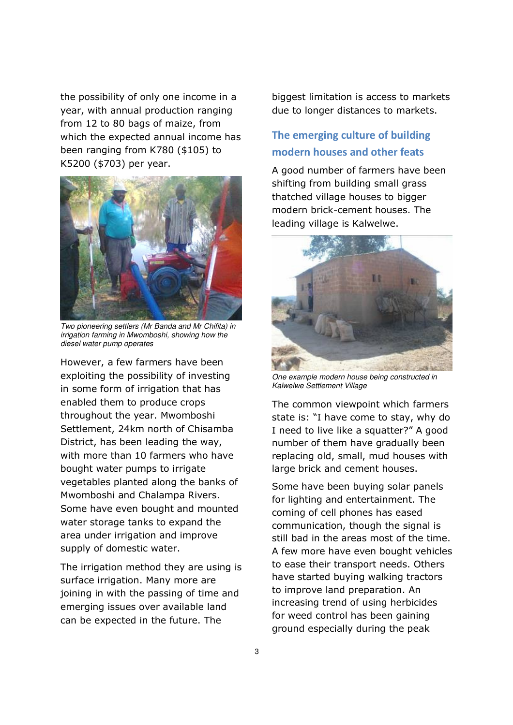the possibility of only one income in a year, with annual production ranging from 12 to 80 bags of maize, from which the expected annual income has been ranging from K780 (\$105) to K5200 (\$703) per year.



Two pioneering settlers (Mr Banda and Mr Chifita) in irrigation farming in Mwomboshi, showing how the diesel water pump operates

However, a few farmers have been exploiting the possibility of investing in some form of irrigation that has enabled them to produce crops throughout the year. Mwomboshi Settlement, 24km north of Chisamba District, has been leading the way, with more than 10 farmers who have bought water pumps to irrigate vegetables planted along the banks of Mwomboshi and Chalampa Rivers. Some have even bought and mounted water storage tanks to expand the area under irrigation and improve supply of domestic water.

The irrigation method they are using is surface irrigation. Many more are joining in with the passing of time and emerging issues over available land can be expected in the future. The

biggest limitation is access to markets due to longer distances to markets.

### The emerging culture of building modern houses and other feats

A good number of farmers have been shifting from building small grass thatched village houses to bigger modern brick-cement houses. The leading village is Kalwelwe.



One example modern house being constructed in Kalwelwe Settlement Village

The common viewpoint which farmers state is: "I have come to stay, why do I need to live like a squatter?" A good number of them have gradually been replacing old, small, mud houses with large brick and cement houses.

Some have been buying solar panels for lighting and entertainment. The coming of cell phones has eased communication, though the signal is still bad in the areas most of the time. A few more have even bought vehicles to ease their transport needs. Others have started buying walking tractors to improve land preparation. An increasing trend of using herbicides for weed control has been gaining ground especially during the peak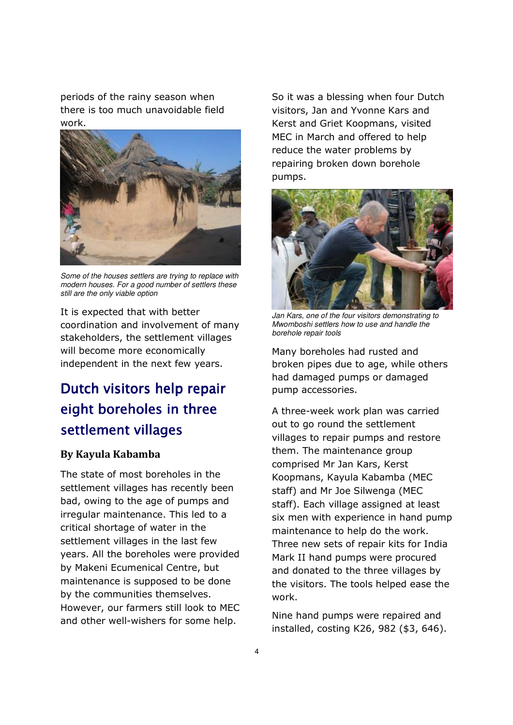periods of the rainy season when there is too much unavoidable field work.



Some of the houses settlers are trying to replace with modern houses. For a good number of settlers these still are the only viable option

It is expected that with better coordination and involvement of many stakeholders, the settlement villages will become more economically independent in the next few years.

## Dutch visitors help repair eight boreholes in three settlement villages

### By Kayula Kabamba

The state of most boreholes in the settlement villages has recently been bad, owing to the age of pumps and irregular maintenance. This led to a critical shortage of water in the settlement villages in the last few years. All the boreholes were provided by Makeni Ecumenical Centre, but maintenance is supposed to be done by the communities themselves. However, our farmers still look to MEC and other well-wishers for some help.

So it was a blessing when four Dutch visitors, Jan and Yvonne Kars and Kerst and Griet Koopmans, visited MEC in March and offered to help reduce the water problems by repairing broken down borehole pumps.



Jan Kars, one of the four visitors demonstrating to Mwomboshi settlers how to use and handle the borehole repair tools

Many boreholes had rusted and broken pipes due to age, while others had damaged pumps or damaged pump accessories.

A three-week work plan was carried out to go round the settlement villages to repair pumps and restore them. The maintenance group comprised Mr Jan Kars, Kerst Koopmans, Kayula Kabamba (MEC staff) and Mr Joe Silwenga (MEC staff). Each village assigned at least six men with experience in hand pump maintenance to help do the work. Three new sets of repair kits for India Mark II hand pumps were procured and donated to the three villages by the visitors. The tools helped ease the work.

Nine hand pumps were repaired and installed, costing K26, 982 (\$3, 646).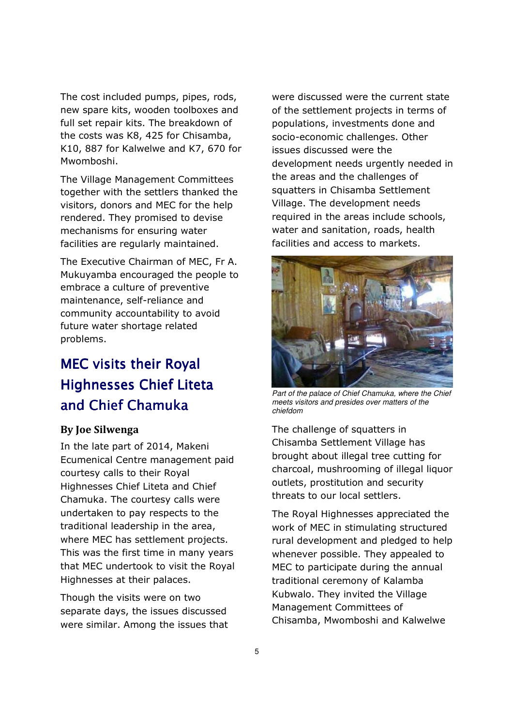The cost included pumps, pipes, rods, new spare kits, wooden toolboxes and full set repair kits. The breakdown of the costs was K8, 425 for Chisamba, K10, 887 for Kalwelwe and K7, 670 for Mwomboshi.

The Village Management Committees together with the settlers thanked the visitors, donors and MEC for the help rendered. They promised to devise mechanisms for ensuring water facilities are regularly maintained.

The Executive Chairman of MEC, Fr A. Mukuyamba encouraged the people to embrace a culture of preventive maintenance, self-reliance and community accountability to avoid future water shortage related problems.

## MEC visits their Royal Highnesses Chief Liteta and Chief Chamuka

### By Joe Silwenga

In the late part of 2014, Makeni Ecumenical Centre management paid courtesy calls to their Royal Highnesses Chief Liteta and Chief Chamuka. The courtesy calls were undertaken to pay respects to the traditional leadership in the area, where MEC has settlement projects. This was the first time in many years that MEC undertook to visit the Royal Highnesses at their palaces.

Though the visits were on two separate days, the issues discussed were similar. Among the issues that were discussed were the current state of the settlement projects in terms of populations, investments done and socio-economic challenges. Other issues discussed were the development needs urgently needed in the areas and the challenges of squatters in Chisamba Settlement Village. The development needs required in the areas include schools, water and sanitation, roads, health facilities and access to markets.



Part of the palace of Chief Chamuka, where the Chief meets visitors and presides over matters of the chiefdom

The challenge of squatters in Chisamba Settlement Village has brought about illegal tree cutting for charcoal, mushrooming of illegal liquor outlets, prostitution and security threats to our local settlers.

The Royal Highnesses appreciated the work of MEC in stimulating structured rural development and pledged to help whenever possible. They appealed to MEC to participate during the annual traditional ceremony of Kalamba Kubwalo. They invited the Village Management Committees of Chisamba, Mwomboshi and Kalwelwe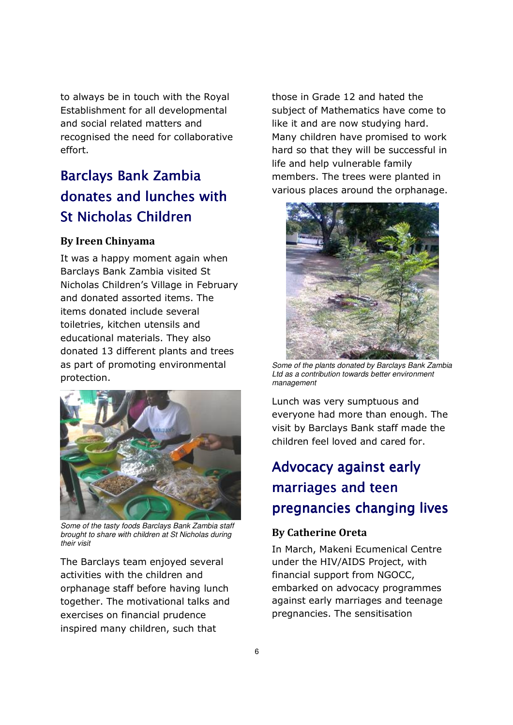to always be in touch with the Royal Establishment for all developmental and social related matters and recognised the need for collaborative effort.

# Barclays Bank Zambia donates and lunches with St Nicholas Children

### By Ireen Chinyama

It was a happy moment again when Barclays Bank Zambia visited St Nicholas Children's Village in February and donated assorted items. The items donated include several toiletries, kitchen utensils and educational materials. They also donated 13 different plants and trees as part of promoting environmental protection.



Some of the tasty foods Barclays Bank Zambia staff brought to share with children at St Nicholas during their visit

The Barclays team enjoyed several activities with the children and orphanage staff before having lunch together. The motivational talks and exercises on financial prudence inspired many children, such that

those in Grade 12 and hated the subject of Mathematics have come to like it and are now studying hard. Many children have promised to work hard so that they will be successful in life and help vulnerable family members. The trees were planted in various places around the orphanage.



Some of the plants donated by Barclays Bank Zambia Ltd as a contribution towards better environment management

Lunch was very sumptuous and everyone had more than enough. The visit by Barclays Bank staff made the children feel loved and cared for.

# Advocacy against early marriages and teen pregnancies changing lives

### By Catherine Oreta

In March, Makeni Ecumenical Centre under the HIV/AIDS Project, with financial support from NGOCC, embarked on advocacy programmes against early marriages and teenage pregnancies. The sensitisation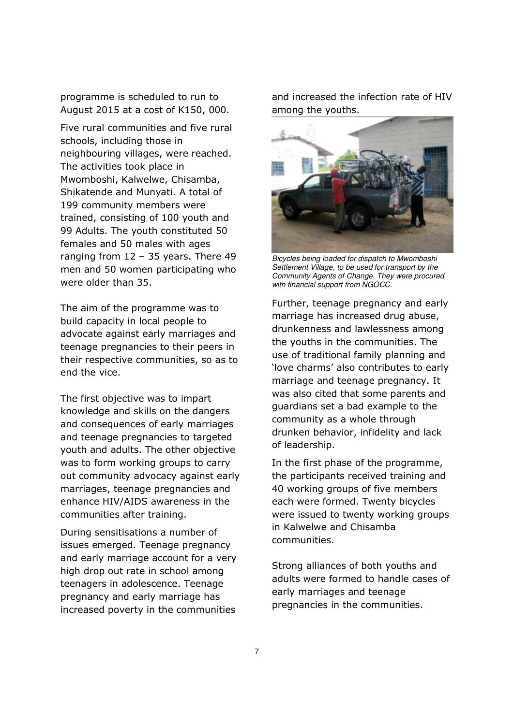programme is scheduled to run to August 2015 at a cost of K150, 000.

Five rural communities and five rural schools, including those in neighbouring villages, were reached. The activities took place in Mwomboshi, Kalwelwe, Chisamba, Shikatende and Munyati. A total of 199 community members were trained, consisting of 100 youth and 99 Adults. The youth constituted 50 females and 50 males with ages ranging from 12 – 35 years. There 49 men and 50 women participating who were older than 35.

The aim of the programme was to build capacity in local people to advocate against early marriages and teenage pregnancies to their peers in their respective communities, so as to end the vice.

The first objective was to impart knowledge and skills on the dangers and consequences of early marriages and teenage pregnancies to targeted youth and adults. The other objective was to form working groups to carry out community advocacy against early marriages, teenage pregnancies and enhance HIV/AIDS awareness in the communities after training.

During sensitisations a number of issues emerged. Teenage pregnancy and early marriage account for a very high drop out rate in school among teenagers in adolescence. Teenage pregnancy and early marriage has increased poverty in the communities

and increased the infection rate of HIV among the youths.



Bicycles being loaded for dispatch to Mwomboshi Settlement Village, to be used for transport by the Community Agents of Change. They were procured with financial support from NGOCC.

Further, teenage pregnancy and early marriage has increased drug abuse, drunkenness and lawlessness among the youths in the communities. The use of traditional family planning and 'love charms' also contributes to early marriage and teenage pregnancy. It was also cited that some parents and guardians set a bad example to the community as a whole through drunken behavior, infidelity and lack of leadership.

In the first phase of the programme, the participants received training and 40 working groups of five members each were formed. Twenty bicycles were issued to twenty working groups in Kalwelwe and Chisamba communities.

Strong alliances of both youths and adults were formed to handle cases of early marriages and teenage pregnancies in the communities.